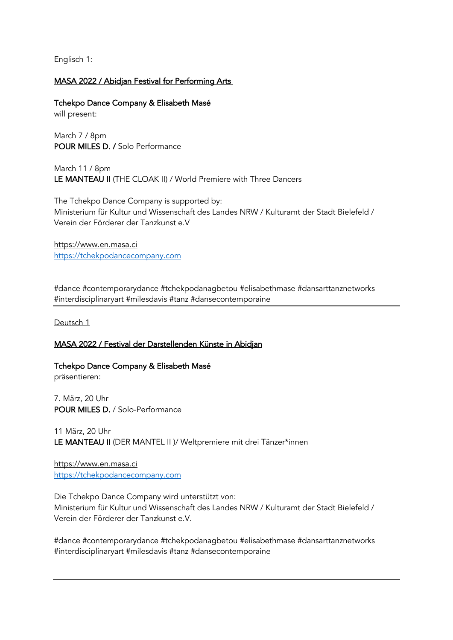Englisch 1:

# MASA 2022 / Abidjan Festival for Performing Arts

Tchekpo Dance Company & Elisabeth Masé will present:

March 7 / 8pm POUR MILES D. / Solo Performance

March 11 / 8pm LE MANTEAU II (THE CLOAK II) / World Premiere with Three Dancers

The Tchekpo Dance Company is supported by: Ministerium für Kultur und Wissenschaft des Landes NRW / Kulturamt der Stadt Bielefeld / Verein der Förderer der Tanzkunst e.V

https://www.en.masa.ci https://tchekpodancecompany.com

#dance #contemporarydance #tchekpodanagbetou #elisabethmase #dansarttanznetworks #interdisciplinaryart #milesdavis #tanz #dansecontemporaine

Deutsch 1

# MASA 2022 / Festival der Darstellenden Künste in Abidjan

Tchekpo Dance Company & Elisabeth Masé präsentieren:

7. März, 20 Uhr POUR MILES D. / Solo-Performance

11 März, 20 Uhr LE MANTEAU II (DER MANTEL II )/ Weltpremiere mit drei Tänzer\*innen

https://www.en.masa.ci https://tchekpodancecompany.com

Die Tchekpo Dance Company wird unterstützt von: Ministerium für Kultur und Wissenschaft des Landes NRW / Kulturamt der Stadt Bielefeld / Verein der Förderer der Tanzkunst e.V.

#dance #contemporarydance #tchekpodanagbetou #elisabethmase #dansarttanznetworks #interdisciplinaryart #milesdavis #tanz #dansecontemporaine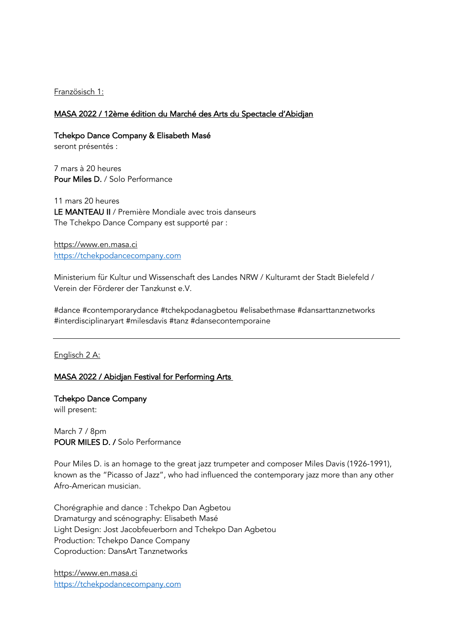### Französisch 1:

### MASA 2022 / 12ème édition du Marché des Arts du Spectacle d'Abidjan

Tchekpo Dance Company & Elisabeth Masé

seront présentés :

7 mars à 20 heures Pour Miles D. / Solo Performance

11 mars 20 heures LE MANTEAU II / Première Mondiale avec trois danseurs The Tchekpo Dance Company est supporté par :

https://www.en.masa.ci https://tchekpodancecompany.com

Ministerium für Kultur und Wissenschaft des Landes NRW / Kulturamt der Stadt Bielefeld / Verein der Förderer der Tanzkunst e.V.

#dance #contemporarydance #tchekpodanagbetou #elisabethmase #dansarttanznetworks #interdisciplinaryart #milesdavis #tanz #dansecontemporaine

Englisch 2 A:

## MASA 2022 / Abidjan Festival for Performing Arts

Tchekpo Dance Company will present:

March 7 / 8pm POUR MILES D. / Solo Performance

Pour Miles D. is an homage to the great jazz trumpeter and composer Miles Davis (1926-1991), known as the "Picasso of Jazz", who had influenced the contemporary jazz more than any other Afro-American musician.

Chorégraphie and dance : Tchekpo Dan Agbetou Dramaturgy and scénography: Elisabeth Masé Light Design: Jost Jacobfeuerborn and Tchekpo Dan Agbetou Production: Tchekpo Dance Company Coproduction: DansArt Tanznetworks

https://www.en.masa.ci https://tchekpodancecompany.com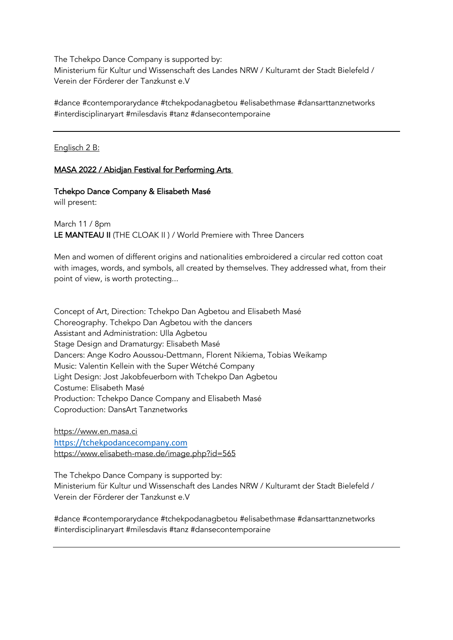The Tchekpo Dance Company is supported by: Ministerium für Kultur und Wissenschaft des Landes NRW / Kulturamt der Stadt Bielefeld / Verein der Förderer der Tanzkunst e.V

#dance #contemporarydance #tchekpodanagbetou #elisabethmase #dansarttanznetworks #interdisciplinaryart #milesdavis #tanz #dansecontemporaine

Englisch 2 B:

# MASA 2022 / Abidjan Festival for Performing Arts

#### Tchekpo Dance Company & Elisabeth Masé

will present:

March 11 / 8pm LE MANTEAU II (THE CLOAK II ) / World Premiere with Three Dancers

Men and women of different origins and nationalities embroidered a circular red cotton coat with images, words, and symbols, all created by themselves. They addressed what, from their point of view, is worth protecting...

Concept of Art, Direction: Tchekpo Dan Agbetou and Elisabeth Masé Choreography. Tchekpo Dan Agbetou with the dancers Assistant and Administration: Ulla Agbetou Stage Design and Dramaturgy: Elisabeth Masé Dancers: Ange Kodro Aoussou-Dettmann, Florent Nikiema, Tobias Weikamp Music: Valentin Kellein with the Super Wétché Company Light Design: Jost Jakobfeuerborn with Tchekpo Dan Agbetou Costume: Elisabeth Masé Production: Tchekpo Dance Company and Elisabeth Masé Coproduction: DansArt Tanznetworks

https://www.en.masa.ci https://tchekpodancecompany.com https://www.elisabeth-mase.de/image.php?id=565

The Tchekpo Dance Company is supported by: Ministerium für Kultur und Wissenschaft des Landes NRW / Kulturamt der Stadt Bielefeld / Verein der Förderer der Tanzkunst e.V

#dance #contemporarydance #tchekpodanagbetou #elisabethmase #dansarttanznetworks #interdisciplinaryart #milesdavis #tanz #dansecontemporaine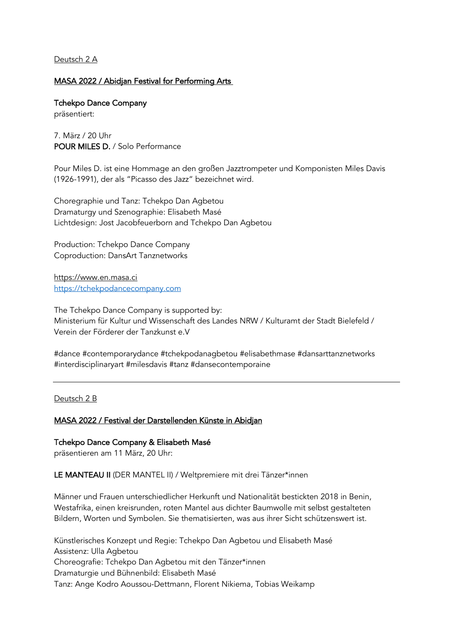Deutsch 2 A

## MASA 2022 / Abidjan Festival for Performing Arts

Tchekpo Dance Company präsentiert:

7. März / 20 Uhr POUR MILES D. / Solo Performance

Pour Miles D. ist eine Hommage an den großen Jazztrompeter und Komponisten Miles Davis (1926-1991), der als "Picasso des Jazz" bezeichnet wird.

Choregraphie und Tanz: Tchekpo Dan Agbetou Dramaturgy und Szenographie: Elisabeth Masé Lichtdesign: Jost Jacobfeuerborn and Tchekpo Dan Agbetou

Production: Tchekpo Dance Company Coproduction: DansArt Tanznetworks

https://www.en.masa.ci https://tchekpodancecompany.com

The Tchekpo Dance Company is supported by: Ministerium für Kultur und Wissenschaft des Landes NRW / Kulturamt der Stadt Bielefeld / Verein der Förderer der Tanzkunst e.V

#dance #contemporarydance #tchekpodanagbetou #elisabethmase #dansarttanznetworks #interdisciplinaryart #milesdavis #tanz #dansecontemporaine

Deutsch 2 B

## MASA 2022 / Festival der Darstellenden Künste in Abidjan

Tchekpo Dance Company & Elisabeth Masé

präsentieren am 11 März, 20 Uhr:

LE MANTEAU II (DER MANTEL II) / Weltpremiere mit drei Tänzer\*innen

Männer und Frauen unterschiedlicher Herkunft und Nationalität bestickten 2018 in Benin, Westafrika, einen kreisrunden, roten Mantel aus dichter Baumwolle mit selbst gestalteten Bildern, Worten und Symbolen. Sie thematisierten, was aus ihrer Sicht schützenswert ist.

Künstlerisches Konzept und Regie: Tchekpo Dan Agbetou und Elisabeth Masé Assistenz: Ulla Agbetou Choreografie: Tchekpo Dan Agbetou mit den Tänzer\*innen Dramaturgie und Bühnenbild: Elisabeth Masé Tanz: Ange Kodro Aoussou-Dettmann, Florent Nikiema, Tobias Weikamp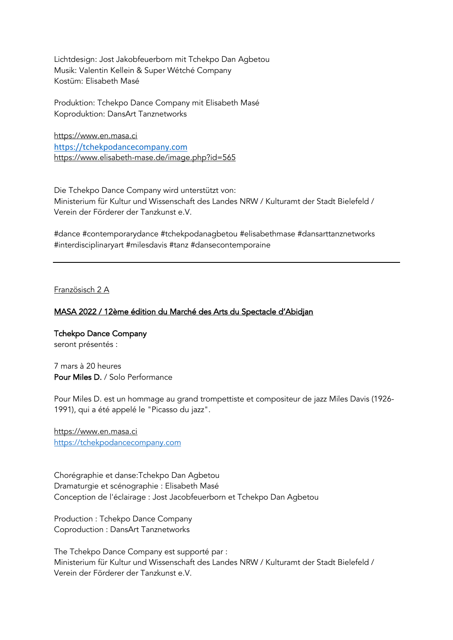Lichtdesign: Jost Jakobfeuerborn mit Tchekpo Dan Agbetou Musik: Valentin Kellein & Super Wétché Company Kostüm: Elisabeth Masé

Produktion: Tchekpo Dance Company mit Elisabeth Masé Koproduktion: DansArt Tanznetworks

https://www.en.masa.ci https://tchekpodancecompany.com https://www.elisabeth-mase.de/image.php?id=565

Die Tchekpo Dance Company wird unterstützt von: Ministerium für Kultur und Wissenschaft des Landes NRW / Kulturamt der Stadt Bielefeld / Verein der Förderer der Tanzkunst e.V.

#dance #contemporarydance #tchekpodanagbetou #elisabethmase #dansarttanznetworks #interdisciplinaryart #milesdavis #tanz #dansecontemporaine

Französisch 2 A

## MASA 2022 / 12ème édition du Marché des Arts du Spectacle d'Abidjan

Tchekpo Dance Company seront présentés :

7 mars à 20 heures Pour Miles D. / Solo Performance

Pour Miles D. est un hommage au grand trompettiste et compositeur de jazz Miles Davis (1926- 1991), qui a été appelé le "Picasso du jazz".

https://www.en.masa.ci https://tchekpodancecompany.com

Chorégraphie et danse:Tchekpo Dan Agbetou Dramaturgie et scénographie : Elisabeth Masé Conception de l'éclairage : Jost Jacobfeuerborn et Tchekpo Dan Agbetou

Production : Tchekpo Dance Company Coproduction : DansArt Tanznetworks

The Tchekpo Dance Company est supporté par : Ministerium für Kultur und Wissenschaft des Landes NRW / Kulturamt der Stadt Bielefeld / Verein der Förderer der Tanzkunst e.V.